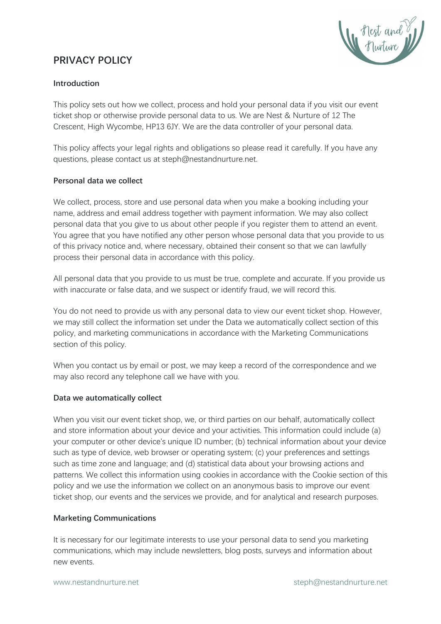# PRIVACY POLICY



## Introduction

This policy sets out how we collect, process and hold your personal data if you visit our event ticket shop or otherwise provide personal data to us. We are Nest & Nurture of 12 The Crescent, High Wycombe, HP13 6JY. We are the data controller of your personal data.

This policy affects your legal rights and obligations so please read it carefully. If you have any questions, please contact us at steph@nestandnurture.net.

#### Personal data we collect

We collect, process, store and use personal data when you make a booking including your name, address and email address together with payment information. We may also collect personal data that you give to us about other people if you register them to attend an event. You agree that you have notified any other person whose personal data that you provide to us of this privacy notice and, where necessary, obtained their consent so that we can lawfully process their personal data in accordance with this policy.

All personal data that you provide to us must be true, complete and accurate. If you provide us with inaccurate or false data, and we suspect or identify fraud, we will record this.

You do not need to provide us with any personal data to view our event ticket shop. However, we may still collect the information set under the Data we automatically collect section of this policy, and marketing communications in accordance with the Marketing Communications section of this policy.

When you contact us by email or post, we may keep a record of the correspondence and we may also record any telephone call we have with you.

#### Data we automatically collect

When you visit our event ticket shop, we, or third parties on our behalf, automatically collect and store information about your device and your activities. This information could include (a) your computer or other device's unique ID number; (b) technical information about your device such as type of device, web browser or operating system; (c) your preferences and settings such as time zone and language; and (d) statistical data about your browsing actions and patterns. We collect this information using cookies in accordance with the Cookie section of this policy and we use the information we collect on an anonymous basis to improve our event ticket shop, our events and the services we provide, and for analytical and research purposes.

#### Marketing Communications

It is necessary for our legitimate interests to use your personal data to send you marketing communications, which may include newsletters, blog posts, surveys and information about new events.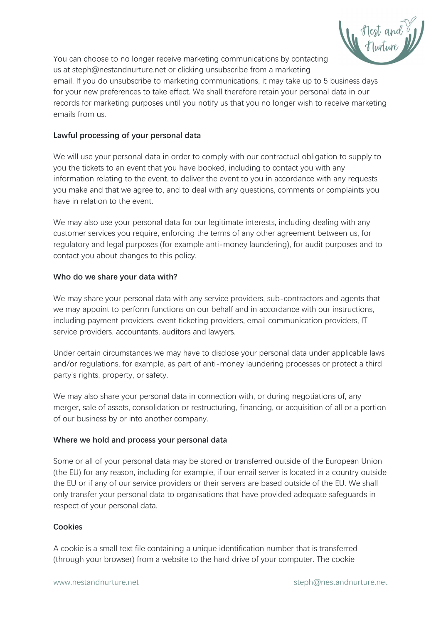

You can choose to no longer receive marketing communications by contacting us at steph@nestandnurture.net or clicking unsubscribe from a marketing email. If you do unsubscribe to marketing communications, it may take up to 5 business days for your new preferences to take effect. We shall therefore retain your personal data in our records for marketing purposes until you notify us that you no longer wish to receive marketing emails from us.

#### Lawful processing of your personal data

We will use your personal data in order to comply with our contractual obligation to supply to you the tickets to an event that you have booked, including to contact you with any information relating to the event, to deliver the event to you in accordance with any requests you make and that we agree to, and to deal with any questions, comments or complaints you have in relation to the event.

We may also use your personal data for our legitimate interests, including dealing with any customer services you require, enforcing the terms of any other agreement between us, for regulatory and legal purposes (for example anti-money laundering), for audit purposes and to contact you about changes to this policy.

## Who do we share your data with?

We may share your personal data with any service providers, sub-contractors and agents that we may appoint to perform functions on our behalf and in accordance with our instructions, including payment providers, event ticketing providers, email communication providers, IT service providers, accountants, auditors and lawyers.

Under certain circumstances we may have to disclose your personal data under applicable laws and/or regulations, for example, as part of anti-money laundering processes or protect a third party's rights, property, or safety.

We may also share your personal data in connection with, or during negotiations of, any merger, sale of assets, consolidation or restructuring, financing, or acquisition of all or a portion of our business by or into another company.

#### Where we hold and process your personal data

Some or all of your personal data may be stored or transferred outside of the European Union (the EU) for any reason, including for example, if our email server is located in a country outside the EU or if any of our service providers or their servers are based outside of the EU. We shall only transfer your personal data to organisations that have provided adequate safeguards in respect of your personal data.

#### **Cookies**

A cookie is a small text file containing a unique identification number that is transferred (through your browser) from a website to the hard drive of your computer. The cookie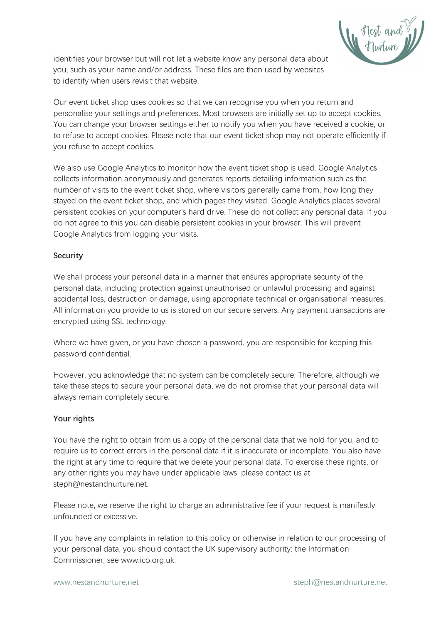

identifies your browser but will not let a website know any personal data about you, such as your name and/or address. These files are then used by websites to identify when users revisit that website.

Our event ticket shop uses cookies so that we can recognise you when you return and personalise your settings and preferences. Most browsers are initially set up to accept cookies. You can change your browser settings either to notify you when you have received a cookie, or to refuse to accept cookies. Please note that our event ticket shop may not operate efficiently if you refuse to accept cookies.

We also use Google Analytics to monitor how the event ticket shop is used. Google Analytics collects information anonymously and generates reports detailing information such as the number of visits to the event ticket shop, where visitors generally came from, how long they stayed on the event ticket shop, and which pages they visited. Google Analytics places several persistent cookies on your computer's hard drive. These do not collect any personal data. If you do not agree to this you can disable persistent cookies in your browser. This will prevent Google Analytics from logging your visits.

## Security

We shall process your personal data in a manner that ensures appropriate security of the personal data, including protection against unauthorised or unlawful processing and against accidental loss, destruction or damage, using appropriate technical or organisational measures. All information you provide to us is stored on our secure servers. Any payment transactions are encrypted using SSL technology.

Where we have given, or you have chosen a password, you are responsible for keeping this password confidential.

However, you acknowledge that no system can be completely secure. Therefore, although we take these steps to secure your personal data, we do not promise that your personal data will always remain completely secure.

#### Your rights

You have the right to obtain from us a copy of the personal data that we hold for you, and to require us to correct errors in the personal data if it is inaccurate or incomplete. You also have the right at any time to require that we delete your personal data. To exercise these rights, or any other rights you may have under applicable laws, please contact us at steph@nestandnurture.net.

Please note, we reserve the right to charge an administrative fee if your request is manifestly unfounded or excessive.

If you have any complaints in relation to this policy or otherwise in relation to our processing of your personal data, you should contact the UK supervisory authority: the Information Commissioner, see www.ico.org.uk.